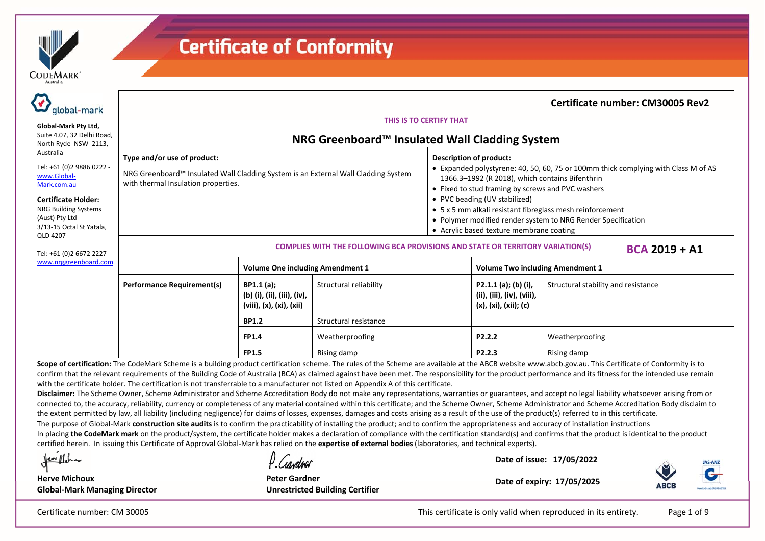

| global-mark                                                                |                                                                                                                                                                                                         |                                                                      |                                                 |                                                                                                          |                                                                                                                                                                                                                              |                                         | Certificate number: CM30005 Rev2 |  |  |
|----------------------------------------------------------------------------|---------------------------------------------------------------------------------------------------------------------------------------------------------------------------------------------------------|----------------------------------------------------------------------|-------------------------------------------------|----------------------------------------------------------------------------------------------------------|------------------------------------------------------------------------------------------------------------------------------------------------------------------------------------------------------------------------------|-----------------------------------------|----------------------------------|--|--|
|                                                                            |                                                                                                                                                                                                         | THIS IS TO CERTIFY THAT                                              |                                                 |                                                                                                          |                                                                                                                                                                                                                              |                                         |                                  |  |  |
| Global-Mark Pty Ltd,<br>Suite 4.07, 32 Delhi Road,<br>North Ryde NSW 2113, |                                                                                                                                                                                                         |                                                                      | NRG Greenboard™ Insulated Wall Cladding System  |                                                                                                          |                                                                                                                                                                                                                              |                                         |                                  |  |  |
| Australia                                                                  | Type and/or use of product:                                                                                                                                                                             |                                                                      |                                                 |                                                                                                          |                                                                                                                                                                                                                              |                                         |                                  |  |  |
| Tel: +61 (0)2 9886 0222 -<br>www.Global-<br>Mark.com.au                    | NRG Greenboard™ Insulated Wall Cladding System is an External Wall Cladding System<br>with thermal Insulation properties.                                                                               |                                                                      |                                                 |                                                                                                          | <b>Description of product:</b><br>• Expanded polystyrene: 40, 50, 60, 75 or 100mm thick complying with Class M of AS<br>1366.3-1992 (R 2018), which contains Bifenthrin<br>• Fixed to stud framing by screws and PVC washers |                                         |                                  |  |  |
| <b>Certificate Holder:</b>                                                 |                                                                                                                                                                                                         |                                                                      |                                                 |                                                                                                          |                                                                                                                                                                                                                              |                                         |                                  |  |  |
| <b>NRG Building Systems</b><br>(Aust) Pty Ltd                              |                                                                                                                                                                                                         |                                                                      |                                                 |                                                                                                          | • 5 x 5 mm alkali resistant fibreglass mesh reinforcement<br>• Polymer modified render system to NRG Render Specification                                                                                                    |                                         |                                  |  |  |
| 3/13-15 Octal St Yatala,                                                   |                                                                                                                                                                                                         |                                                                      |                                                 | • Acrylic based texture membrane coating                                                                 |                                                                                                                                                                                                                              |                                         |                                  |  |  |
| QLD 4207<br>Tel: +61 (0)2 6672 2227 -                                      |                                                                                                                                                                                                         |                                                                      |                                                 | <b>COMPLIES WITH THE FOLLOWING BCA PROVISIONS AND STATE OR TERRITORY VARIATION(S)</b><br>$BCA 2019 + A1$ |                                                                                                                                                                                                                              |                                         |                                  |  |  |
| www.nrggreenboard.com                                                      |                                                                                                                                                                                                         | <b>Volume One including Amendment 1</b>                              |                                                 |                                                                                                          |                                                                                                                                                                                                                              | <b>Volume Two including Amendment 1</b> |                                  |  |  |
|                                                                            | <b>Performance Requirement(s)</b>                                                                                                                                                                       | BP1.1(a);<br>(b) (i), (ii), (iii), (iv),<br>(viii), (x), (xi), (xii) | Structural reliability<br>Structural resistance |                                                                                                          | P2.1.1 (a); (b) (i),<br>(ii), (iii), (iv), (viii),<br>(x), (xi), (xii); (c)                                                                                                                                                  | Structural stability and resistance     |                                  |  |  |
|                                                                            |                                                                                                                                                                                                         | <b>BP1.2</b>                                                         |                                                 |                                                                                                          |                                                                                                                                                                                                                              |                                         |                                  |  |  |
|                                                                            |                                                                                                                                                                                                         | <b>FP1.4</b>                                                         | Weatherproofing                                 | P2.2.2                                                                                                   |                                                                                                                                                                                                                              | Weatherproofing                         |                                  |  |  |
|                                                                            | Scope of certification: The CodeMark Scheme is a building product certification scheme. The rules of the Scheme are available at the ARCR website www.abch.gov.au. This Certificate of Conformity is to | <b>FP1.5</b>                                                         | Rising damp                                     |                                                                                                          | P2.2.3                                                                                                                                                                                                                       | Rising damp                             |                                  |  |  |

rules of the Scheme are available at the ABCB website www.abcb.gov. confirm that the relevant requirements of the Building Code of Australia (BCA) as claimed against have been met. The responsibility for the product performance and its fitness for the intended use remain with the certificate holder. The certification is not transferrable to a manufacturer not listed on Appendix A of this certificate.

**Disclaimer:** The Scheme Owner, Scheme Administrator and Scheme Accreditation Body do not make any representations, warranties or guarantees, and accept no legal liability whatsoever arising from or connected to, the accuracy, reliability, currency or completeness of any material contained within this certificate; and the Scheme Owner, Scheme Administrator and Scheme Accreditation Body disclaim to the extent permitted by law, all liability (including negligence) for claims of losses, expenses, damages and costs arising as a result of the use of the product(s) referred to in this certificate.

The purpose of Global-Mark **construction site audits** is to confirm the practicability of installing the product; and to confirm the appropriateness and accuracy of installation instructions

In placing the CodeMark mark on the product/system, the certificate holder makes a declaration of compliance with the certification standard(s) and confirms that the product is identical to the product certified herein. In issuing this Certificate of Approval Global-Mark has relied on the **expertise of external bodies** (laboratories, and technical experts).

Neve Mona

**Herve Michoux Global-Mark Managing Director**

U Conduer

**Peter Gardner Unrestricted Building Certifier**

**Date of expiry: 17/05/2025** 

**Date of issue: 17/05/2022** 



Certificate number: CM 30005 This certificate is only valid when reproduced in its entirety. Page 1 of 9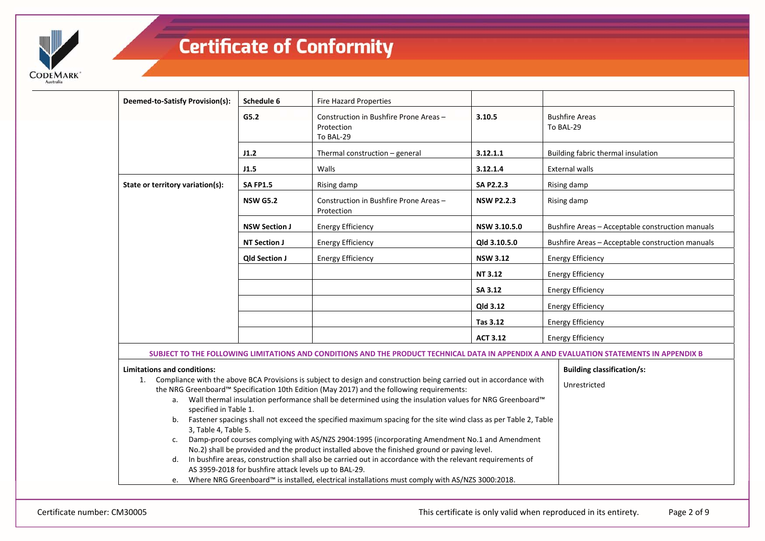

| Deemed-to-Satisfy Provision(s):                                                                                                          | Schedule 6                                            | <b>Fire Hazard Properties</b>                                                                                          |                   |                                                                                                                                          |  |  |  |
|------------------------------------------------------------------------------------------------------------------------------------------|-------------------------------------------------------|------------------------------------------------------------------------------------------------------------------------|-------------------|------------------------------------------------------------------------------------------------------------------------------------------|--|--|--|
|                                                                                                                                          | G5.2                                                  | Construction in Bushfire Prone Areas -<br>Protection<br>To BAL-29                                                      | 3.10.5            | <b>Bushfire Areas</b><br>To BAL-29                                                                                                       |  |  |  |
|                                                                                                                                          | J1.2                                                  | Thermal construction - general                                                                                         | 3.12.1.1          | Building fabric thermal insulation                                                                                                       |  |  |  |
|                                                                                                                                          | J1.5                                                  | Walls                                                                                                                  | 3.12.1.4          | <b>External walls</b>                                                                                                                    |  |  |  |
| State or territory variation(s):                                                                                                         | <b>SA FP1.5</b>                                       | Rising damp                                                                                                            | <b>SA P2.2.3</b>  | Rising damp                                                                                                                              |  |  |  |
|                                                                                                                                          | <b>NSW G5.2</b>                                       | Construction in Bushfire Prone Areas -<br>Protection                                                                   | <b>NSW P2.2.3</b> | Rising damp                                                                                                                              |  |  |  |
|                                                                                                                                          | <b>NSW Section J</b>                                  | <b>Energy Efficiency</b>                                                                                               | NSW 3.10.5.0      | Bushfire Areas - Acceptable construction manuals                                                                                         |  |  |  |
|                                                                                                                                          | <b>NT Section J</b>                                   | <b>Energy Efficiency</b>                                                                                               | Qld 3.10.5.0      | Bushfire Areas - Acceptable construction manuals                                                                                         |  |  |  |
|                                                                                                                                          | <b>Qld Section J</b>                                  | <b>Energy Efficiency</b>                                                                                               | <b>NSW 3.12</b>   | <b>Energy Efficiency</b>                                                                                                                 |  |  |  |
|                                                                                                                                          |                                                       |                                                                                                                        | <b>NT 3.12</b>    | <b>Energy Efficiency</b>                                                                                                                 |  |  |  |
|                                                                                                                                          |                                                       |                                                                                                                        | SA 3.12           | <b>Energy Efficiency</b>                                                                                                                 |  |  |  |
|                                                                                                                                          |                                                       |                                                                                                                        | Qld 3.12          | <b>Energy Efficiency</b>                                                                                                                 |  |  |  |
|                                                                                                                                          |                                                       |                                                                                                                        | Tas 3.12          | <b>Energy Efficiency</b>                                                                                                                 |  |  |  |
|                                                                                                                                          |                                                       |                                                                                                                        | <b>ACT 3.12</b>   | <b>Energy Efficiency</b>                                                                                                                 |  |  |  |
|                                                                                                                                          |                                                       |                                                                                                                        |                   | SUBJECT TO THE FOLLOWING LIMITATIONS AND CONDITIONS AND THE PRODUCT TECHNICAL DATA IN APPENDIX A AND EVALUATION STATEMENTS IN APPENDIX B |  |  |  |
| <b>Limitations and conditions:</b>                                                                                                       |                                                       |                                                                                                                        |                   | <b>Building classification/s:</b>                                                                                                        |  |  |  |
|                                                                                                                                          |                                                       | 1. Compliance with the above BCA Provisions is subject to design and construction being carried out in accordance with |                   | Unrestricted                                                                                                                             |  |  |  |
|                                                                                                                                          |                                                       | the NRG Greenboard™ Specification 10th Edition (May 2017) and the following requirements:                              |                   |                                                                                                                                          |  |  |  |
|                                                                                                                                          |                                                       | a. Wall thermal insulation performance shall be determined using the insulation values for NRG Greenboard™             |                   |                                                                                                                                          |  |  |  |
| specified in Table 1.                                                                                                                    |                                                       |                                                                                                                        |                   |                                                                                                                                          |  |  |  |
| b. Fastener spacings shall not exceed the specified maximum spacing for the site wind class as per Table 2, Table                        |                                                       |                                                                                                                        |                   |                                                                                                                                          |  |  |  |
| 3, Table 4, Table 5.<br>Damp-proof courses complying with AS/NZS 2904:1995 (incorporating Amendment No.1 and Amendment<br>$\mathsf{C}$ . |                                                       |                                                                                                                        |                   |                                                                                                                                          |  |  |  |
| No.2) shall be provided and the product installed above the finished ground or paving level.                                             |                                                       |                                                                                                                        |                   |                                                                                                                                          |  |  |  |
| d.                                                                                                                                       |                                                       | In bushfire areas, construction shall also be carried out in accordance with the relevant requirements of              |                   |                                                                                                                                          |  |  |  |
|                                                                                                                                          | AS 3959-2018 for bushfire attack levels up to BAL-29. |                                                                                                                        |                   |                                                                                                                                          |  |  |  |
|                                                                                                                                          |                                                       | e. Where NRG Greenboard™ is installed, electrical installations must comply with AS/NZS 3000:2018.                     |                   |                                                                                                                                          |  |  |  |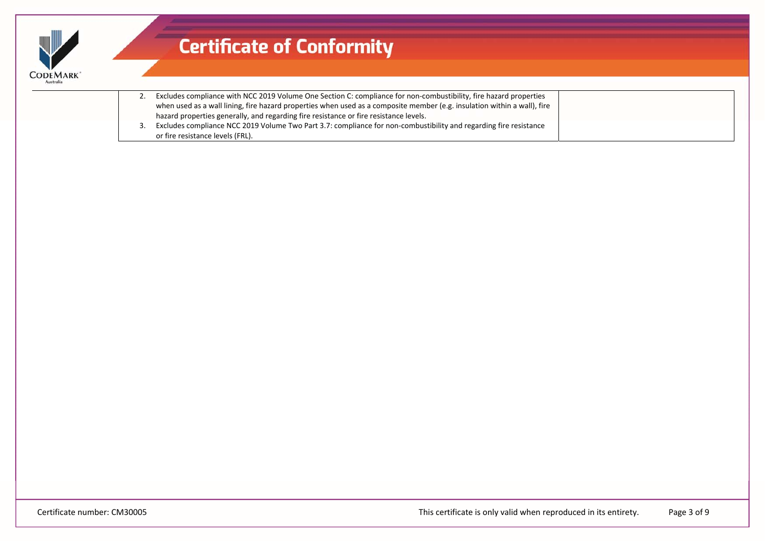| <b>ODEMARK</b> |
|----------------|

|  | 2. Excludes compliance with NCC 2019 Volume One Section C: compliance for non-combustibility, fire hazard properties     |
|--|--------------------------------------------------------------------------------------------------------------------------|
|  | when used as a wall lining, fire hazard properties when used as a composite member (e.g. insulation within a wall), fire |
|  | hazard properties generally, and regarding fire resistance or fire resistance levels.                                    |
|  | Excludes compliance NCC 2019 Volume Two Part 3.7: compliance for non-combustibility and regarding fire resistance        |
|  | or fire resistance levels (FRL).                                                                                         |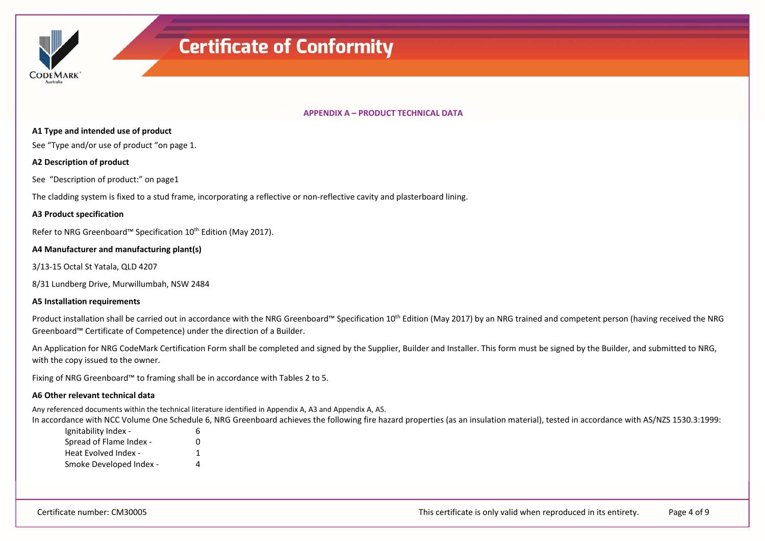

#### **APPENDIX A – PRODUCT TECHNICAL DATA**

#### **A1 Type and intended use of product**

See "Type and/or use of product "on page 1.

#### **A2 Description of product**

See "Description of product:" on page1

The cladding system is fixed to a stud frame, incorporating a reflective or non-reflective cavity and plasterboard lining.

#### **A3 Product specification**

Refer to NRG Greenboard™ Specification 10<sup>th</sup> Edition (May 2017).

#### **A4 Manufacturer and manufacturing plant(s)**

3/13-15 Octal St Yatala, QLD 4207

8/31 Lundberg Drive, Murwillumbah, NSW 2484

#### **A5 Installation requirements**

Product installation shall be carried out in accordance with the NRG Greenboard™ Specification 10<sup>th</sup> Edition (May 2017) by an NRG trained and competent person (having received the NRG Greenboard™ Certificate of Competence) under the direction of a Builder.

An Application for NRG CodeMark Certification Form shall be completed and signed by the Supplier, Builder and Installer. This form must be signed by the Builder, and submitted to NRG, with the copy issued to the owner.

Fixing of NRG Greenboard™ to framing shall be in accordance with Tables 2 to 5.

#### **A6 Other relevant technical data**

Any referenced documents within the technical literature identified in Appendix A, A3 and Appendix A, A5.

In accordance with NCC Volume One Schedule 6, NRG Greenboard achieves the following fire hazard properties (as an insulation material), tested in accordance with AS/NZS 1530.3:1999:

| Ignitability Index -    | ь |
|-------------------------|---|
| Spread of Flame Index - | n |
| Heat Evolved Index -    | 1 |
| Smoke Developed Index - | Δ |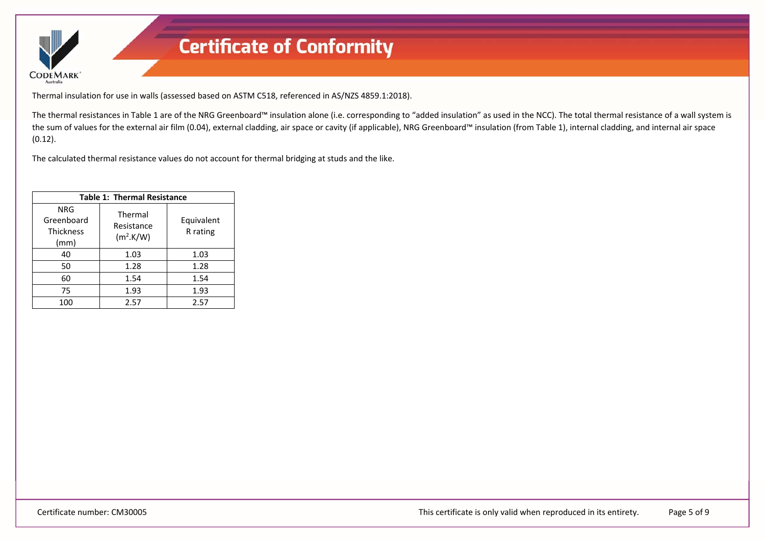

Thermal insulation for use in walls (assessed based on ASTM C518, referenced in AS/NZS 4859.1:2018).

The thermal resistances in Table 1 are of the NRG Greenboard™ insulation alone (i.e. corresponding to "added insulation" as used in the NCC). The total thermal resistance of a wall system is the sum of values for the external air film (0.04), external cladding, air space or cavity (if applicable), NRG Greenboard™ insulation (from Table 1), internal cladding, and internal air space (0.12).

The calculated thermal resistance values do not account for thermal bridging at studs and the like.

| <b>Table 1: Thermal Resistance</b>                   |                                                |                        |  |  |  |  |
|------------------------------------------------------|------------------------------------------------|------------------------|--|--|--|--|
| <b>NRG</b><br>Greenboard<br><b>Thickness</b><br>(mm) | Thermal<br>Resistance<br>(m <sup>2</sup> .K/W) | Equivalent<br>R rating |  |  |  |  |
| 40                                                   | 1.03                                           | 1.03                   |  |  |  |  |
| 50                                                   | 1.28                                           | 1.28                   |  |  |  |  |
| 60                                                   | 1.54                                           | 1.54                   |  |  |  |  |
| 75                                                   | 1.93                                           | 1.93                   |  |  |  |  |
| 100                                                  | 2.57                                           | 2.57                   |  |  |  |  |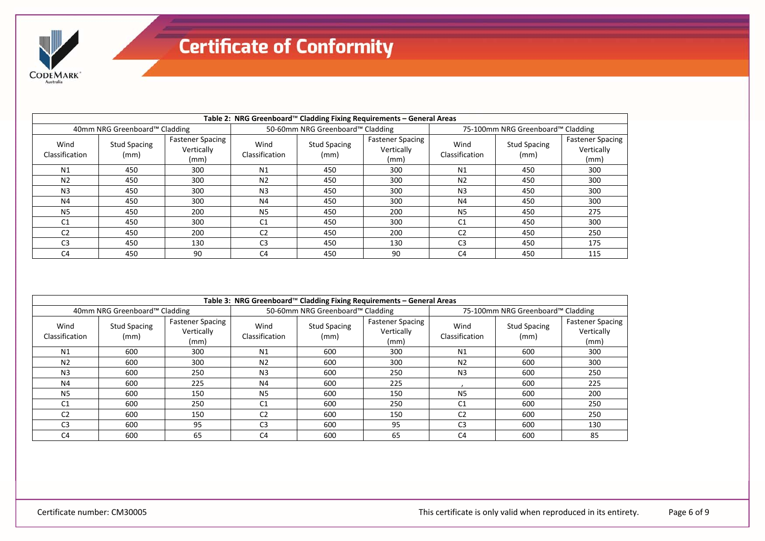

|                        | Table 2: NRG Greenboard™ Cladding Fixing Requirements - General Areas |                                               |                        |                                  |                                               |                                   |                             |                                               |  |
|------------------------|-----------------------------------------------------------------------|-----------------------------------------------|------------------------|----------------------------------|-----------------------------------------------|-----------------------------------|-----------------------------|-----------------------------------------------|--|
|                        | 40mm NRG Greenboard™ Cladding                                         |                                               |                        | 50-60mm NRG Greenboard™ Cladding |                                               | 75-100mm NRG Greenboard™ Cladding |                             |                                               |  |
| Wind<br>Classification | <b>Stud Spacing</b><br>(mm)                                           | <b>Fastener Spacing</b><br>Vertically<br>(mm) | Wind<br>Classification | <b>Stud Spacing</b><br>(mm)      | <b>Fastener Spacing</b><br>Vertically<br>(mm) | Wind<br>Classification            | <b>Stud Spacing</b><br>(mm) | <b>Fastener Spacing</b><br>Vertically<br>(mm) |  |
| N <sub>1</sub>         | 450                                                                   | 300                                           | N <sub>1</sub>         | 450                              | 300                                           | N1                                | 450                         | 300                                           |  |
| N <sub>2</sub>         | 450                                                                   | 300                                           | N <sub>2</sub>         | 450                              | 300                                           | N <sub>2</sub>                    | 450                         | 300                                           |  |
| N <sub>3</sub>         | 450                                                                   | 300                                           | N <sub>3</sub>         | 450                              | 300                                           | N <sub>3</sub>                    | 450                         | 300                                           |  |
| N4                     | 450                                                                   | 300                                           | N4                     | 450                              | 300                                           | N4                                | 450                         | 300                                           |  |
| N <sub>5</sub>         | 450                                                                   | 200                                           | N <sub>5</sub>         | 450                              | 200                                           | N <sub>5</sub>                    | 450                         | 275                                           |  |
| C <sub>1</sub>         | 450                                                                   | 300                                           | C <sub>1</sub>         | 450                              | 300                                           | C <sub>1</sub>                    | 450                         | 300                                           |  |
| C <sub>2</sub>         | 450                                                                   | 200                                           | C <sub>2</sub>         | 450                              | 200                                           | C <sub>2</sub>                    | 450                         | 250                                           |  |
| C <sub>3</sub>         | 450                                                                   | 130                                           | C <sub>3</sub>         | 450                              | 130                                           | C <sub>3</sub>                    | 450                         | 175                                           |  |
| C <sub>4</sub>         | 450                                                                   | 90                                            | C <sub>4</sub>         | 450                              | 90                                            | C <sub>4</sub>                    | 450                         | 115                                           |  |

| Table 3: NRG Greenboard™ Cladding Fixing Requirements - General Areas |                               |                                               |                        |                                  |                                               |                                   |                             |                                               |
|-----------------------------------------------------------------------|-------------------------------|-----------------------------------------------|------------------------|----------------------------------|-----------------------------------------------|-----------------------------------|-----------------------------|-----------------------------------------------|
|                                                                       | 40mm NRG Greenboard™ Cladding |                                               |                        | 50-60mm NRG Greenboard™ Cladding |                                               | 75-100mm NRG Greenboard™ Cladding |                             |                                               |
| Wind<br>Classification                                                | <b>Stud Spacing</b><br>(mm)   | <b>Fastener Spacing</b><br>Vertically<br>(mm) | Wind<br>Classification | <b>Stud Spacing</b><br>(mm)      | <b>Fastener Spacing</b><br>Vertically<br>(mm) | Wind<br>Classification            | <b>Stud Spacing</b><br>(mm) | <b>Fastener Spacing</b><br>Vertically<br>(mm) |
| N1                                                                    | 600                           | 300                                           | N1                     | 600                              | 300                                           | N1                                | 600                         | 300                                           |
| N <sub>2</sub>                                                        | 600                           | 300                                           | N <sub>2</sub>         | 600                              | 300                                           | N <sub>2</sub>                    | 600                         | 300                                           |
| N <sub>3</sub>                                                        | 600                           | 250                                           | N <sub>3</sub>         | 600                              | 250                                           | N <sub>3</sub>                    | 600                         | 250                                           |
| N4                                                                    | 600                           | 225                                           | N4                     | 600                              | 225                                           |                                   | 600                         | 225                                           |
| N <sub>5</sub>                                                        | 600                           | 150                                           | <b>N5</b>              | 600                              | 150                                           | N <sub>5</sub>                    | 600                         | 200                                           |
| C <sub>1</sub>                                                        | 600                           | 250                                           | C1                     | 600                              | 250                                           | C <sub>1</sub>                    | 600                         | 250                                           |
| C <sub>2</sub>                                                        | 600                           | 150                                           | C <sub>2</sub>         | 600                              | 150                                           | C <sub>2</sub>                    | 600                         | 250                                           |
| C <sub>3</sub>                                                        | 600                           | 95                                            | C <sub>3</sub>         | 600                              | 95                                            | C <sub>3</sub>                    | 600                         | 130                                           |
| C <sub>4</sub>                                                        | 600                           | 65                                            | C <sub>4</sub>         | 600                              | 65                                            | C4                                | 600                         | 85                                            |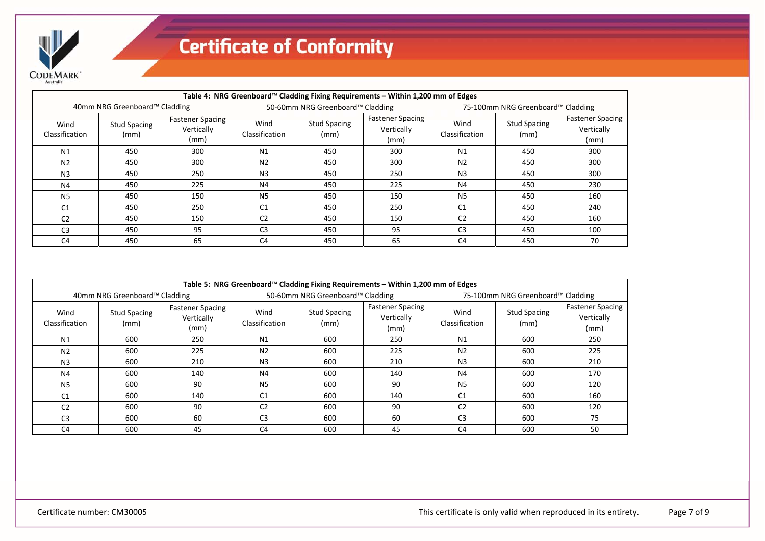

| Table 4: NRG Greenboard™ Cladding Fixing Requirements – Within 1,200 mm of Edges |                               |                                               |                        |                                  |                                               |                                   |                             |                                               |
|----------------------------------------------------------------------------------|-------------------------------|-----------------------------------------------|------------------------|----------------------------------|-----------------------------------------------|-----------------------------------|-----------------------------|-----------------------------------------------|
|                                                                                  | 40mm NRG Greenboard™ Cladding |                                               |                        | 50-60mm NRG Greenboard™ Cladding |                                               | 75-100mm NRG Greenboard™ Cladding |                             |                                               |
| Wind<br>Classification                                                           | <b>Stud Spacing</b><br>(mm)   | <b>Fastener Spacing</b><br>Vertically<br>(mm) | Wind<br>Classification | <b>Stud Spacing</b><br>(mm)      | <b>Fastener Spacing</b><br>Vertically<br>(mm) | Wind<br>Classification            | <b>Stud Spacing</b><br>(mm) | <b>Fastener Spacing</b><br>Vertically<br>(mm) |
| N1                                                                               | 450                           | 300                                           | N1                     | 450                              | 300                                           | N1                                | 450                         | 300                                           |
| N <sub>2</sub>                                                                   | 450                           | 300                                           | N <sub>2</sub>         | 450                              | 300                                           | N <sub>2</sub>                    | 450                         | 300                                           |
| N <sub>3</sub>                                                                   | 450                           | 250                                           | N <sub>3</sub>         | 450                              | 250                                           | N <sub>3</sub>                    | 450                         | 300                                           |
| N <sub>4</sub>                                                                   | 450                           | 225                                           | N4                     | 450                              | 225                                           | N4                                | 450                         | 230                                           |
| N <sub>5</sub>                                                                   | 450                           | 150                                           | <b>N5</b>              | 450                              | 150                                           | N <sub>5</sub>                    | 450                         | 160                                           |
| C <sub>1</sub>                                                                   | 450                           | 250                                           | C <sub>1</sub>         | 450                              | 250                                           | C <sub>1</sub>                    | 450                         | 240                                           |
| C <sub>2</sub>                                                                   | 450                           | 150                                           | C <sub>2</sub>         | 450                              | 150                                           | C <sub>2</sub>                    | 450                         | 160                                           |
| C <sub>3</sub>                                                                   | 450                           | 95                                            | C <sub>3</sub>         | 450                              | 95                                            | C <sub>3</sub>                    | 450                         | 100                                           |
| C <sub>4</sub>                                                                   | 450                           | 65                                            | C <sub>4</sub>         | 450                              | 65                                            | C4                                | 450                         | 70                                            |

| Table 5: NRG Greenboard™ Cladding Fixing Requirements – Within 1,200 mm of Edges |                               |                                               |                        |                                  |                                               |                        |                                   |                                               |  |
|----------------------------------------------------------------------------------|-------------------------------|-----------------------------------------------|------------------------|----------------------------------|-----------------------------------------------|------------------------|-----------------------------------|-----------------------------------------------|--|
|                                                                                  | 40mm NRG Greenboard™ Cladding |                                               |                        | 50-60mm NRG Greenboard™ Cladding |                                               |                        | 75-100mm NRG Greenboard™ Cladding |                                               |  |
| Wind<br>Classification                                                           | <b>Stud Spacing</b><br>(mm)   | <b>Fastener Spacing</b><br>Vertically<br>(mm) | Wind<br>Classification | <b>Stud Spacing</b><br>(mm)      | <b>Fastener Spacing</b><br>Vertically<br>(mm) | Wind<br>Classification | <b>Stud Spacing</b><br>(mm)       | <b>Fastener Spacing</b><br>Vertically<br>(mm) |  |
| N1                                                                               | 600                           | 250                                           | N1                     | 600                              | 250                                           | N1                     | 600                               | 250                                           |  |
| N <sub>2</sub>                                                                   | 600                           | 225                                           | N <sub>2</sub>         | 600                              | 225                                           | N <sub>2</sub>         | 600                               | 225                                           |  |
| N <sub>3</sub>                                                                   | 600                           | 210                                           | N <sub>3</sub>         | 600                              | 210                                           | N <sub>3</sub>         | 600                               | 210                                           |  |
| N4                                                                               | 600                           | 140                                           | N4                     | 600                              | 140                                           | N4                     | 600                               | 170                                           |  |
| <b>N5</b>                                                                        | 600                           | 90                                            | N5                     | 600                              | 90                                            | N <sub>5</sub>         | 600                               | 120                                           |  |
| C <sub>1</sub>                                                                   | 600                           | 140                                           | C <sub>1</sub>         | 600                              | 140                                           | C1                     | 600                               | 160                                           |  |
| C <sub>2</sub>                                                                   | 600                           | 90                                            | C <sub>2</sub>         | 600                              | 90                                            | C <sub>2</sub>         | 600                               | 120                                           |  |
| C <sub>3</sub>                                                                   | 600                           | 60                                            | C <sub>3</sub>         | 600                              | 60                                            | C <sub>3</sub>         | 600                               | 75                                            |  |
| C <sub>4</sub>                                                                   | 600                           | 45                                            | C <sub>4</sub>         | 600                              | 45                                            | C <sub>4</sub>         | 600                               | 50                                            |  |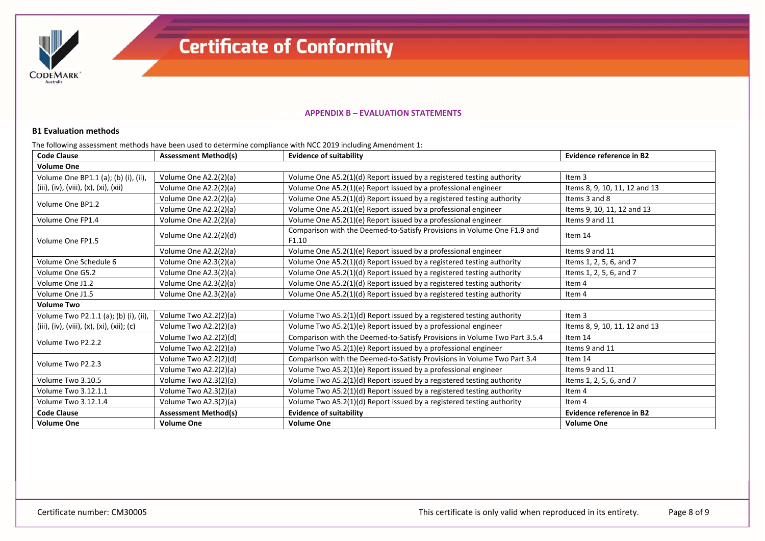

#### **APPENDIX B – EVALUATION STATEMENTS**

#### **B1 Evaluation methods**

The following assessment methods have been used to determine compliance with NCC 2019 including Amendment 1:

| <b>Code Clause</b>                         | <b>Assessment Method(s)</b> | <b>Evidence of suitability</b>                                                   | <b>Evidence reference in B2</b> |
|--------------------------------------------|-----------------------------|----------------------------------------------------------------------------------|---------------------------------|
| <b>Volume One</b>                          |                             |                                                                                  |                                 |
| Volume One BP1.1 (a); (b) (i), (ii),       | Volume One A2.2(2)(a)       | Volume One A5.2(1)(d) Report issued by a registered testing authority            | Item 3                          |
| (iii), (iv), (viii), (x), (xi), (xii)      | Volume One A2.2(2)(a)       | Volume One A5.2(1)(e) Report issued by a professional engineer                   | Items 8, 9, 10, 11, 12 and 13   |
| Volume One BP1.2                           | Volume One A2.2(2)(a)       | Volume One A5.2(1)(d) Report issued by a registered testing authority            | Items 3 and 8                   |
|                                            | Volume One A2.2(2)(a)       | Volume One A5.2(1)(e) Report issued by a professional engineer                   | Items 9, 10, 11, 12 and 13      |
| Volume One FP1.4                           | Volume One A2.2(2)(a)       | Volume One A5.2(1)(e) Report issued by a professional engineer                   | Items 9 and 11                  |
| Volume One FP1.5                           | Volume One A2.2(2)(d)       | Comparison with the Deemed-to-Satisfy Provisions in Volume One F1.9 and<br>F1.10 | Item 14                         |
|                                            | Volume One A2.2(2)(a)       | Volume One A5.2(1)(e) Report issued by a professional engineer                   | Items 9 and 11                  |
| Volume One Schedule 6                      | Volume One A2.3(2)(a)       | Volume One A5.2(1)(d) Report issued by a registered testing authority            | Items 1, 2, 5, 6, and 7         |
| Volume One G5.2                            | Volume One A2.3(2)(a)       | Volume One A5.2(1)(d) Report issued by a registered testing authority            | Items 1, 2, 5, 6, and 7         |
| Volume One J1.2                            | Volume One A2.3(2)(a)       | Volume One A5.2(1)(d) Report issued by a registered testing authority            | Item 4                          |
| Volume One J1.5                            | Volume One A2.3(2)(a)       | Volume One A5.2(1)(d) Report issued by a registered testing authority            | Item 4                          |
| <b>Volume Two</b>                          |                             |                                                                                  |                                 |
| Volume Two P2.1.1 (a); (b) (i), (ii),      | Volume Two A2.2(2)(a)       | Volume Two A5.2(1)(d) Report issued by a registered testing authority            | Item <sub>3</sub>               |
| (iii), (iv), (viii), (x), (xi), (xii); (c) | Volume Two A2.2(2)(a)       | Volume Two A5.2(1)(e) Report issued by a professional engineer                   | Items 8, 9, 10, 11, 12 and 13   |
| Volume Two P2.2.2                          | Volume Two A2.2(2)(d)       | Comparison with the Deemed-to-Satisfy Provisions in Volume Two Part 3.5.4        | Item 14                         |
|                                            | Volume Two A2.2(2)(a)       | Volume Two A5.2(1)(e) Report issued by a professional engineer                   | Items 9 and 11                  |
| Volume Two P2.2.3                          | Volume Two A2.2(2)(d)       | Comparison with the Deemed-to-Satisfy Provisions in Volume Two Part 3.4          | Item 14                         |
|                                            | Volume Two A2.2(2)(a)       | Volume Two A5.2(1)(e) Report issued by a professional engineer                   | Items 9 and 11                  |
| Volume Two 3.10.5                          | Volume Two A2.3(2)(a)       | Volume Two A5.2(1)(d) Report issued by a registered testing authority            | Items 1, 2, 5, 6, and 7         |
| Volume Two 3.12.1.1                        | Volume Two A2.3(2)(a)       | Volume Two A5.2(1)(d) Report issued by a registered testing authority            | Item 4                          |
| Volume Two 3.12.1.4                        | Volume Two A2.3(2)(a)       | Volume Two A5.2(1)(d) Report issued by a registered testing authority            | Item 4                          |
| <b>Code Clause</b>                         | <b>Assessment Method(s)</b> | <b>Evidence of suitability</b>                                                   | <b>Evidence reference in B2</b> |
| <b>Volume One</b>                          | <b>Volume One</b>           | <b>Volume One</b>                                                                | <b>Volume One</b>               |